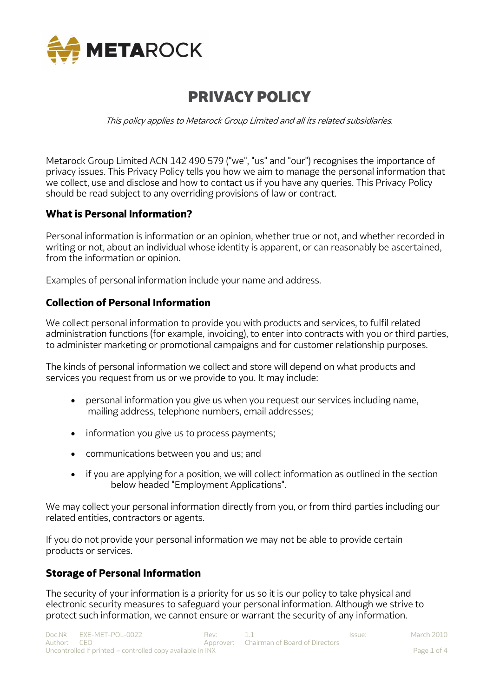

# PRIVACY POLICY

This policy applies to Metarock Group Limited and all its related subsidiaries.

Metarock Group Limited ACN 142 490 579 ("we", "us" and "our") recognises the importance of privacy issues. This Privacy Policy tells you how we aim to manage the personal information that we collect, use and disclose and how to contact us if you have any queries. This Privacy Policy should be read subject to any overriding provisions of law or contract.

# **What is Personal Information?**

Personal information is information or an opinion, whether true or not, and whether recorded in writing or not, about an individual whose identity is apparent, or can reasonably be ascertained, from the information or opinion.

Examples of personal information include your name and address.

# **Collection of Personal Information**

We collect personal information to provide you with products and services, to fulfil related administration functions (for example, invoicing), to enter into contracts with you or third parties, to administer marketing or promotional campaigns and for customer relationship purposes.

The kinds of personal information we collect and store will depend on what products and services you request from us or we provide to you. It may include:

- personal information you give us when you request our services including name, mailing address, telephone numbers, email addresses;
- information you give us to process payments;
- communications between you and us; and
- if you are applying for a position, we will collect information as outlined in the section below headed "Employment Applications".

We may collect your personal information directly from you, or from third parties including our related entities, contractors or agents.

If you do not provide your personal information we may not be able to provide certain products or services.

## **Storage of Personal Information**

The security of your information is a priority for us so it is our policy to take physical and electronic security measures to safeguard your personal information. Although we strive to protect such information, we cannot ensure or warrant the security of any information.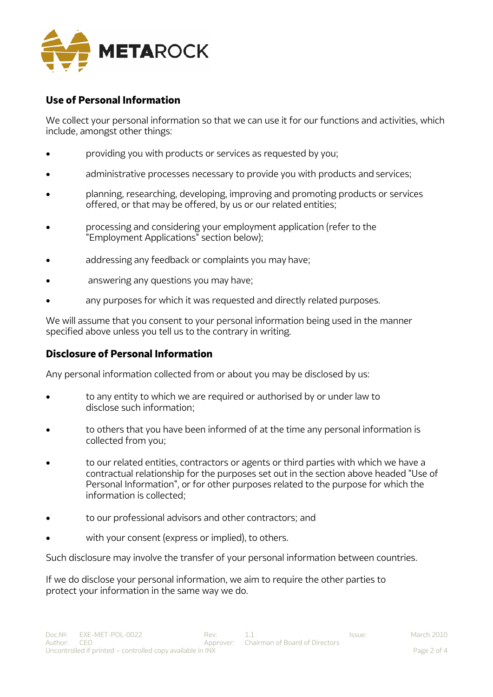

# **Use of Personal Information**

We collect your personal information so that we can use it for our functions and activities, which include, amongst other things:

- **providing you with products or services as requested by you:**
- administrative processes necessary to provide you with products and services;
- planning, researching, developing, improving and promoting products or services offered, or that may be offered, by us or our related entities;
- processing and considering your employment application (refer to the "Employment Applications" section below);
- addressing any feedback or complaints you may have;
- answering any questions you may have;
- any purposes for which it was requested and directly related purposes.

We will assume that you consent to your personal information being used in the manner specified above unless you tell us to the contrary in writing.

## **Disclosure of Personal Information**

Any personal information collected from or about you may be disclosed by us:

- to any entity to which we are required or authorised by or under law to disclose such information;
- to others that you have been informed of at the time any personal information is collected from you;
- to our related entities, contractors or agents or third parties with which we have a contractual relationship for the purposes set out in the section above headed "Use of Personal Information", or for other purposes related to the purpose for which the information is collected;
- to our professional advisors and other contractors; and
- with your consent (express or implied), to others.

Such disclosure may involve the transfer of your personal information between countries.

If we do disclose your personal information, we aim to require the other parties to protect your information in the same way we do.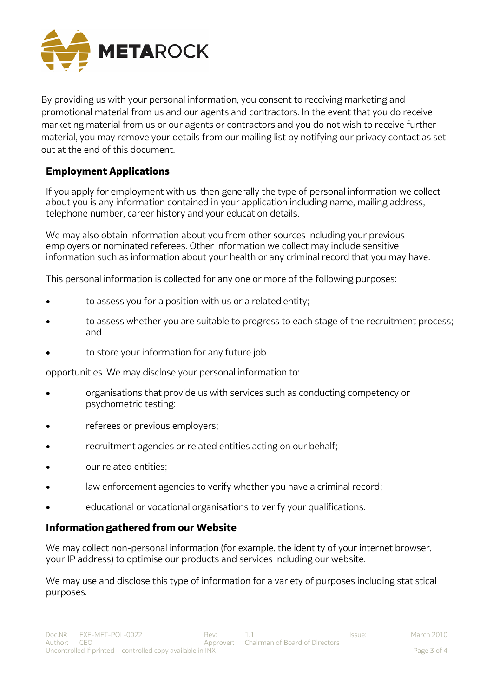

By providing us with your personal information, you consent to receiving marketing and promotional material from us and our agents and contractors. In the event that you do receive marketing material from us or our agents or contractors and you do not wish to receive further material, you may remove your details from our mailing list by notifying our privacy contact as set out at the end of this document.

# **Employment Applications**

If you apply for employment with us, then generally the type of personal information we collect about you is any information contained in your application including name, mailing address, telephone number, career history and your education details.

We may also obtain information about you from other sources including your previous employers or nominated referees. Other information we collect may include sensitive information such as information about your health or any criminal record that you may have.

This personal information is collected for any one or more of the following purposes:

- to assess you for a position with us or a related entity;
- to assess whether you are suitable to progress to each stage of the recruitment process; and
- to store your information for any future job

opportunities. We may disclose your personal information to:

- organisations that provide us with services such as conducting competency or psychometric testing;
- *referees or previous employers;*
- recruitment agencies or related entities acting on our behalf;
- our related entities;
- law enforcement agencies to verify whether you have a criminal record;
- educational or vocational organisations to verify your qualifications.

## **Information gathered from our Website**

We may collect non-personal information (for example, the identity of your internet browser, your IP address) to optimise our products and services including our website.

We may use and disclose this type of information for a variety of purposes including statistical purposes.